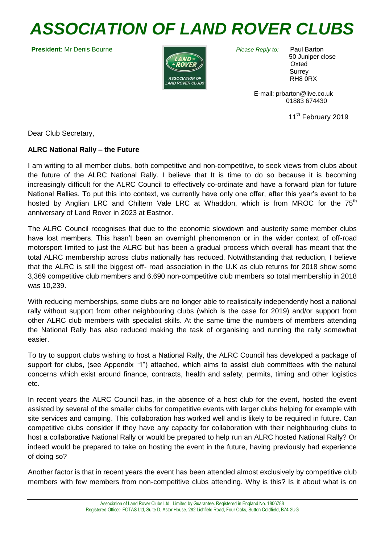# *ASSOCIATION OF LAND ROVER CLUBS*

**President**: Mr Denis Bourne



*Please Reply to:* Paul Barton

 50 Juniper close **Oxted Surrey** RH8 0RX

 E-mail: prbarton@live.co.uk 01883 674430

11<sup>th</sup> February 2019

Dear Club Secretary,

## **ALRC National Rally – the Future**

I am writing to all member clubs, both competitive and non-competitive, to seek views from clubs about the future of the ALRC National Rally. I believe that It is time to do so because it is becoming increasingly difficult for the ALRC Council to effectively co-ordinate and have a forward plan for future National Rallies. To put this into context, we currently have only one offer, after this year's event to be hosted by Anglian LRC and Chiltern Vale LRC at Whaddon, which is from MROC for the  $75<sup>th</sup>$ anniversary of Land Rover in 2023 at Eastnor.

The ALRC Council recognises that due to the economic slowdown and austerity some member clubs have lost members. This hasn't been an overnight phenomenon or in the wider context of off-road motorsport limited to just the ALRC but has been a gradual process which overall has meant that the total ALRC membership across clubs nationally has reduced. Notwithstanding that reduction, I believe that the ALRC is still the biggest off- road association in the U.K as club returns for 2018 show some 3,369 competitive club members and 6,690 non-competitive club members so total membership in 2018 was 10,239.

With reducing memberships, some clubs are no longer able to realistically independently host a national rally without support from other neighbouring clubs (which is the case for 2019) and/or support from other ALRC club members with specialist skills. At the same time the numbers of members attending the National Rally has also reduced making the task of organising and running the rally somewhat easier.

To try to support clubs wishing to host a National Rally, the ALRC Council has developed a package of support for clubs, (see Appendix "1") attached, which aims to assist club committees with the natural concerns which exist around finance, contracts, health and safety, permits, timing and other logistics etc.

In recent years the ALRC Council has, in the absence of a host club for the event, hosted the event assisted by several of the smaller clubs for competitive events with larger clubs helping for example with site services and camping. This collaboration has worked well and is likely to be required in future. Can competitive clubs consider if they have any capacity for collaboration with their neighbouring clubs to host a collaborative National Rally or would be prepared to help run an ALRC hosted National Rally? Or indeed would be prepared to take on hosting the event in the future, having previously had experience of doing so?

Another factor is that in recent years the event has been attended almost exclusively by competitive club members with few members from non-competitive clubs attending. Why is this? Is it about what is on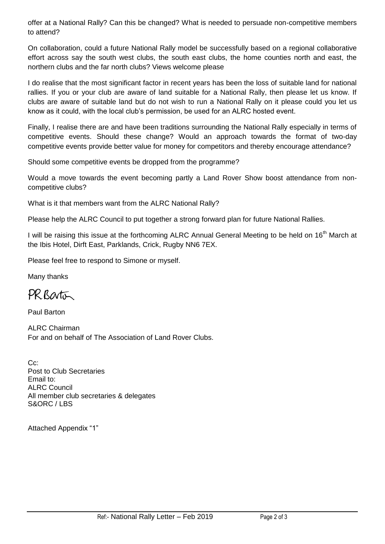offer at a National Rally? Can this be changed? What is needed to persuade non-competitive members to attend?

On collaboration, could a future National Rally model be successfully based on a regional collaborative effort across say the south west clubs, the south east clubs, the home counties north and east, the northern clubs and the far north clubs? Views welcome please

I do realise that the most significant factor in recent years has been the loss of suitable land for national rallies. If you or your club are aware of land suitable for a National Rally, then please let us know. If clubs are aware of suitable land but do not wish to run a National Rally on it please could you let us know as it could, with the local club's permission, be used for an ALRC hosted event.

Finally, I realise there are and have been traditions surrounding the National Rally especially in terms of competitive events. Should these change? Would an approach towards the format of two-day competitive events provide better value for money for competitors and thereby encourage attendance?

Should some competitive events be dropped from the programme?

Would a move towards the event becoming partly a Land Rover Show boost attendance from noncompetitive clubs?

What is it that members want from the ALRC National Rally?

Please help the ALRC Council to put together a strong forward plan for future National Rallies.

I will be raising this issue at the forthcoming ALRC Annual General Meeting to be held on 16<sup>th</sup> March at the Ibis Hotel, Dirft East, Parklands, Crick, Rugby NN6 7EX.

Please feel free to respond to Simone or myself.

Many thanks

PR Barton

Paul Barton

ALRC Chairman For and on behalf of The Association of Land Rover Clubs.

C<sub>c</sub>: Post to Club Secretaries Email to: ALRC Council All member club secretaries & delegates S&ORC / LBS

Attached Appendix "1"